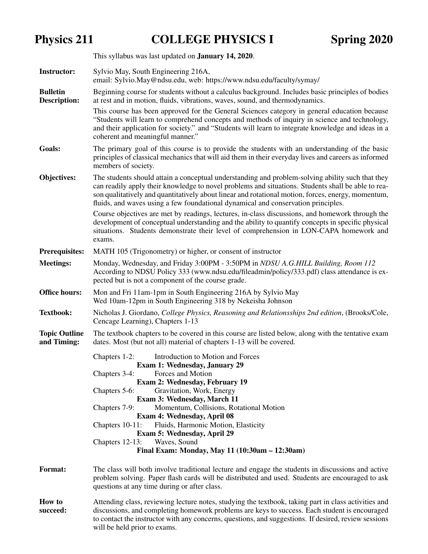Physics 211 COLLEGE PHYSICS I Spring 2020

|                                        | This syllabus was last updated on <b>January 14, 2020</b> .                                                                                                                                                                                                                                                                                                                                       |  |  |  |
|----------------------------------------|---------------------------------------------------------------------------------------------------------------------------------------------------------------------------------------------------------------------------------------------------------------------------------------------------------------------------------------------------------------------------------------------------|--|--|--|
| <b>Instructor:</b>                     | Sylvio May, South Engineering 216A,<br>email: Sylvio.May@ndsu.edu, web: https://www.ndsu.edu/faculty/symay/                                                                                                                                                                                                                                                                                       |  |  |  |
| <b>Bulletin</b><br><b>Description:</b> | Beginning course for students without a calculus background. Includes basic principles of bodies<br>at rest and in motion, fluids, vibrations, waves, sound, and thermodynamics.<br>This course has been approved for the General Sciences category in general education because                                                                                                                  |  |  |  |
|                                        | "Students will learn to comprehend concepts and methods of inquiry in science and technology,<br>and their application for society." and "Students will learn to integrate knowledge and ideas in a<br>coherent and meaningful manner."                                                                                                                                                           |  |  |  |
| Goals:                                 | The primary goal of this course is to provide the students with an understanding of the basic<br>principles of classical mechanics that will aid them in their everyday lives and careers as informed<br>members of society.                                                                                                                                                                      |  |  |  |
| <b>Objectives:</b>                     | The students should attain a conceptual understanding and problem-solving ability such that they<br>can readily apply their knowledge to novel problems and situations. Students shall be able to rea-<br>son qualitatively and quantitatively about linear and rotational motion, forces, energy, momentum,<br>fluids, and waves using a few foundational dynamical and conservation principles. |  |  |  |
|                                        | Course objectives are met by readings, lectures, in-class discussions, and homework through the<br>development of conceptual understanding and the ability to quantify concepts in specific physical<br>situations. Students demonstrate their level of comprehension in LON-CAPA homework and<br>exams.                                                                                          |  |  |  |
| <b>Prerequisites:</b>                  | MATH 105 (Trigonometry) or higher, or consent of instructor                                                                                                                                                                                                                                                                                                                                       |  |  |  |
| <b>Meetings:</b>                       | Monday, Wednesday, and Friday 3:00PM - 3:50PM in NDSU A.G.HILL Building, Room 112<br>According to NDSU Policy 333 (www.ndsu.edu/fileadmin/policy/333.pdf) class attendance is ex-<br>pected but is not a component of the course grade.                                                                                                                                                           |  |  |  |
| <b>Office hours:</b>                   | Mon and Fri 11am-1pm in South Engineering 216A by Sylvio May<br>Wed 10am-12pm in South Engineering 318 by Nekeisha Johnson                                                                                                                                                                                                                                                                        |  |  |  |
| <b>Textbook:</b>                       | Nicholas J. Giordano, College Physics, Reasoning and Relationsships 2nd edition, (Brooks/Cole,<br>Cencage Learning), Chapters 1-13                                                                                                                                                                                                                                                                |  |  |  |
| <b>Topic Outline</b><br>and Timing:    | The textbook chapters to be covered in this course are listed below, along with the tentative exam<br>dates. Most (but not all) material of chapters 1-13 will be covered.                                                                                                                                                                                                                        |  |  |  |
|                                        | Introduction to Motion and Forces<br>Chapters 1-2:<br><b>Exam 1: Wednesday, January 29</b><br>Forces and Motion<br>Chapters 3-4:                                                                                                                                                                                                                                                                  |  |  |  |
|                                        | <b>Exam 2: Wednesday, February 19</b><br>Gravitation, Work, Energy<br>Chapters 5-6:<br>Exam 3: Wednesday, March 11                                                                                                                                                                                                                                                                                |  |  |  |
|                                        | Momentum, Collisions, Rotational Motion<br>Chapters 7-9:<br>Exam 4: Wednesday, April 08                                                                                                                                                                                                                                                                                                           |  |  |  |
|                                        | Chapters 10-11:<br>Fluids, Harmonic Motion, Elasticity<br>Exam 5: Wednesday, April 29                                                                                                                                                                                                                                                                                                             |  |  |  |
|                                        | Chapters 12-13:<br>Waves, Sound<br>Final Exam: Monday, May 11 (10:30am - 12:30am)                                                                                                                                                                                                                                                                                                                 |  |  |  |
| <b>Format:</b>                         | The class will both involve traditional lecture and engage the students in discussions and active<br>problem solving. Paper flash cards will be distributed and used. Students are encouraged to ask<br>questions at any time during or after class.                                                                                                                                              |  |  |  |
| <b>How to</b>                          | Attending class, reviewing lecture notes, studying the textbook, taking part in class activities and                                                                                                                                                                                                                                                                                              |  |  |  |

 $H$ succeed: discussions, and completing homework problems are keys to success. Each student is encouraged to contact the instructor with any concerns, questions, and suggestions. If desired, review sessions will be held prior to exams.